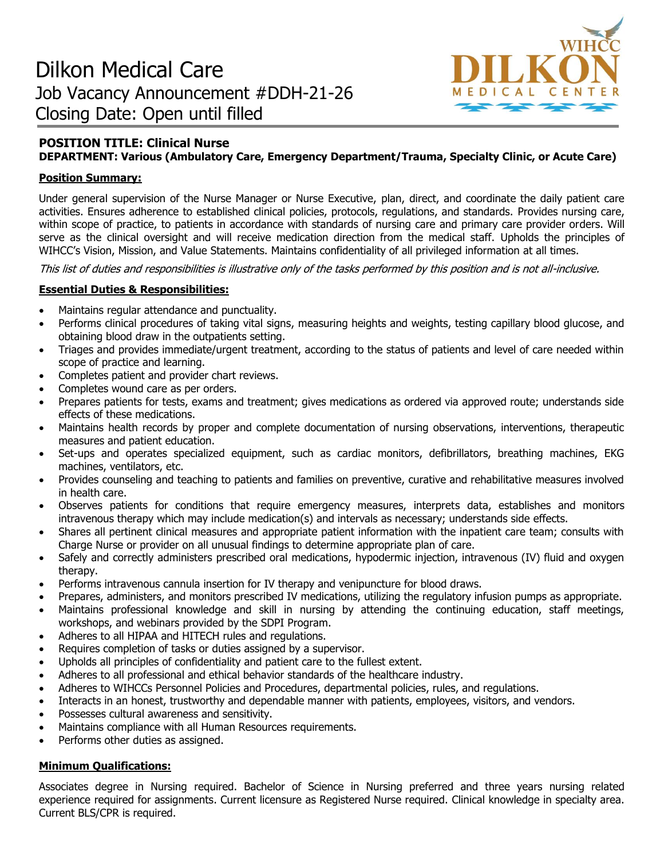

## **POSITION TITLE: Clinical Nurse DEPARTMENT: Various (Ambulatory Care, Emergency Department/Trauma, Specialty Clinic, or Acute Care)**

#### **Position Summary:**

Under general supervision of the Nurse Manager or Nurse Executive, plan, direct, and coordinate the daily patient care activities. Ensures adherence to established clinical policies, protocols, regulations, and standards. Provides nursing care, within scope of practice, to patients in accordance with standards of nursing care and primary care provider orders. Will serve as the clinical oversight and will receive medication direction from the medical staff. Upholds the principles of WIHCC's Vision, Mission, and Value Statements. Maintains confidentiality of all privileged information at all times.

This list of duties and responsibilities is illustrative only of the tasks performed by this position and is not all-inclusive.

#### **Essential Duties & Responsibilities:**

- Maintains regular attendance and punctuality.
- Performs clinical procedures of taking vital signs, measuring heights and weights, testing capillary blood glucose, and obtaining blood draw in the outpatients setting.
- Triages and provides immediate/urgent treatment, according to the status of patients and level of care needed within scope of practice and learning.
- Completes patient and provider chart reviews.
- Completes wound care as per orders.
- Prepares patients for tests, exams and treatment; gives medications as ordered via approved route; understands side effects of these medications.
- Maintains health records by proper and complete documentation of nursing observations, interventions, therapeutic measures and patient education.
- Set-ups and operates specialized equipment, such as cardiac monitors, defibrillators, breathing machines, EKG machines, ventilators, etc.
- Provides counseling and teaching to patients and families on preventive, curative and rehabilitative measures involved in health care.
- Observes patients for conditions that require emergency measures, interprets data, establishes and monitors intravenous therapy which may include medication(s) and intervals as necessary; understands side effects.
- Shares all pertinent clinical measures and appropriate patient information with the inpatient care team; consults with Charge Nurse or provider on all unusual findings to determine appropriate plan of care.
- Safely and correctly administers prescribed oral medications, hypodermic injection, intravenous (IV) fluid and oxygen therapy.
- Performs intravenous cannula insertion for IV therapy and venipuncture for blood draws.
- Prepares, administers, and monitors prescribed IV medications, utilizing the regulatory infusion pumps as appropriate.
- Maintains professional knowledge and skill in nursing by attending the continuing education, staff meetings, workshops, and webinars provided by the SDPI Program.
- Adheres to all HIPAA and HITECH rules and regulations.
- Requires completion of tasks or duties assigned by a supervisor.
- Upholds all principles of confidentiality and patient care to the fullest extent.
- Adheres to all professional and ethical behavior standards of the healthcare industry.
- Adheres to WIHCCs Personnel Policies and Procedures, departmental policies, rules, and regulations.
- Interacts in an honest, trustworthy and dependable manner with patients, employees, visitors, and vendors.
- Possesses cultural awareness and sensitivity.
- Maintains compliance with all Human Resources requirements.
- Performs other duties as assigned.

# **Minimum Qualifications:**

Associates degree in Nursing required. Bachelor of Science in Nursing preferred and three years nursing related experience required for assignments. Current licensure as Registered Nurse required. Clinical knowledge in specialty area. Current BLS/CPR is required.